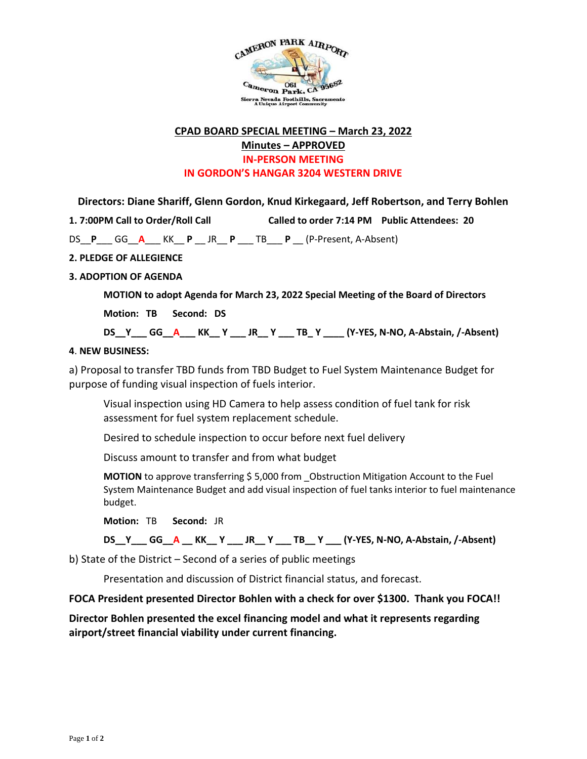

# **CPAD BOARD SPECIAL MEETING – March 23, 2022**

## **Minutes – APPROVED IN-PERSON MEETING**

#### **IN GORDON'S HANGAR 3204 WESTERN DRIVE**

**Directors: Diane Shariff, Glenn Gordon, Knud Kirkegaard, Jeff Robertson, and Terry Bohlen**

**1. 7:00PM Call to Order/Roll Call Called to order 7:14 PM Public Attendees: 20**

DS\_\_**P**\_\_\_ GG\_\_**A**\_\_\_ KK\_\_ **P** \_\_ JR\_\_ **P** \_\_\_ TB\_\_\_ **P** \_\_ (P-Present, A-Absent)

### **2. PLEDGE OF ALLEGIENCE**

**3. ADOPTION OF AGENDA** 

**MOTION to adopt Agenda for March 23, 2022 Special Meeting of the Board of Directors** 

**Motion: TB Second: DS**

**DS\_\_Y\_\_\_ GG\_\_A\_\_\_ KK\_\_ Y \_\_\_ JR\_\_ Y \_\_\_ TB\_ Y \_\_\_\_ (Y-YES, N-NO, A-Abstain, /-Absent)** 

## **4**. **NEW BUSINESS:**

a) Proposal to transfer TBD funds from TBD Budget to Fuel System Maintenance Budget for purpose of funding visual inspection of fuels interior.

Visual inspection using HD Camera to help assess condition of fuel tank for risk assessment for fuel system replacement schedule.

Desired to schedule inspection to occur before next fuel delivery

Discuss amount to transfer and from what budget

**MOTION** to approve transferring \$ 5,000 from \_Obstruction Mitigation Account to the Fuel System Maintenance Budget and add visual inspection of fuel tanks interior to fuel maintenance budget.

**Motion:** TB **Second:** JR

**DS\_\_Y\_\_\_ GG\_\_A \_\_ KK\_\_ Y \_\_\_ JR\_\_ Y \_\_\_ TB\_\_ Y \_\_\_ (Y-YES, N-NO, A-Abstain, /-Absent)** 

b) State of the District – Second of a series of public meetings

Presentation and discussion of District financial status, and forecast.

**FOCA President presented Director Bohlen with a check for over \$1300. Thank you FOCA!!**

**Director Bohlen presented the excel financing model and what it represents regarding airport/street financial viability under current financing.**